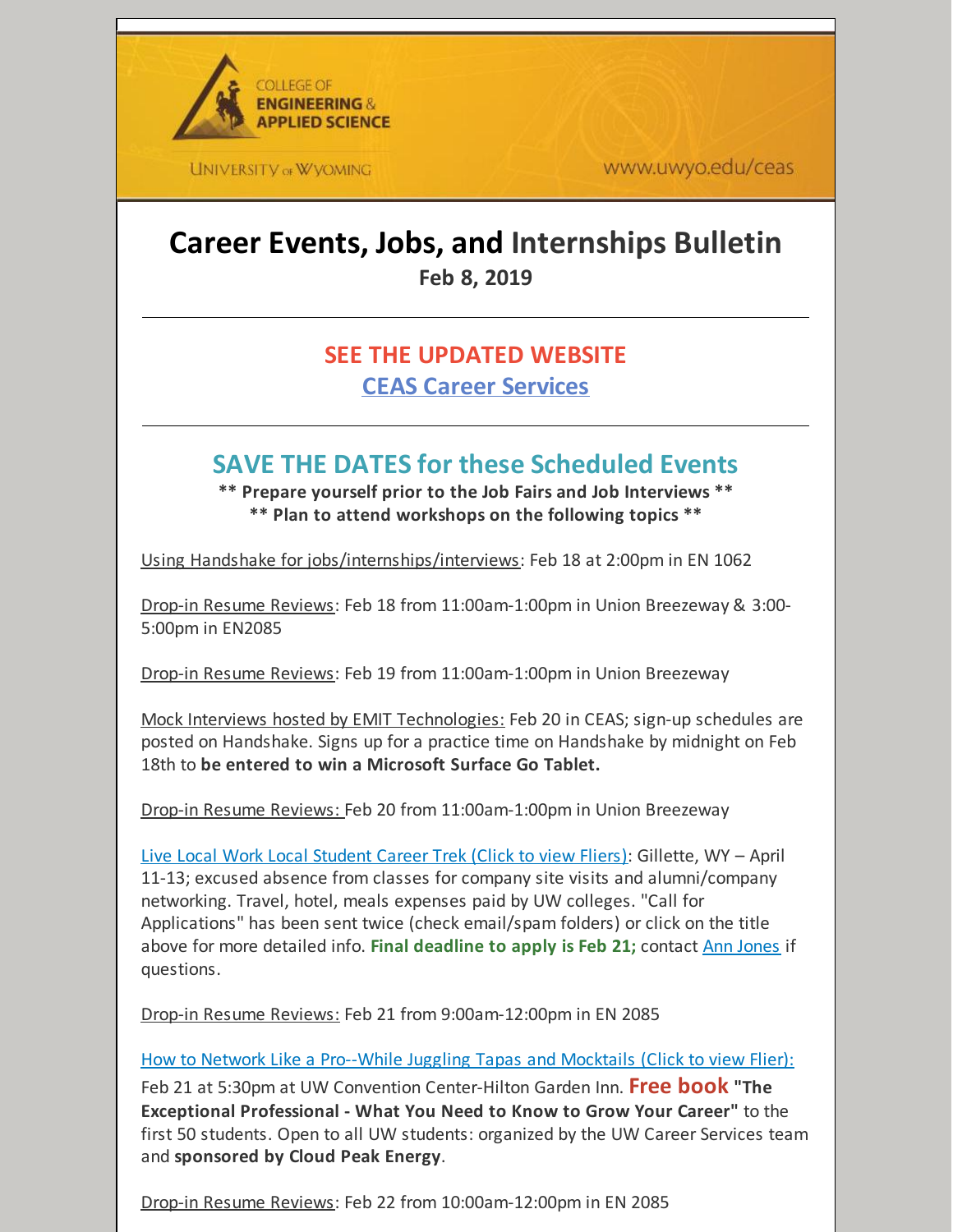

**UNIVERSITY OF WYOMING** 

www.uwyo.edu/ceas

# **Career Events, Jobs, and Internships Bulletin Feb 8, 2019**

# **SEE THE UPDATED WEBSITE CEAS Career [Services](http://www.uwyo.edu/ceas/resources/studentservices/jobs/index.html)**

# **SAVE THE DATES for these Scheduled Events**

**\*\* Prepare yourself prior to the Job Fairs and Job Interviews \*\* \*\* Plan to attend workshops on the following topics \*\***

Using Handshake for jobs/internships/interviews: Feb 18 at 2:00pm in EN 1062

Drop-in Resume Reviews: Feb 18 from 11:00am-1:00pm in Union Breezeway & 3:00- 5:00pm in EN2085

Drop-in Resume Reviews: Feb 19 from 11:00am-1:00pm in Union Breezeway

Mock Interviews hosted by EMIT Technologies: Feb 20 in CEAS; sign-up schedules are posted on Handshake. Signs up for a practice time on Handshake by midnight on Feb 18th to **be entered to win a Microsoft Surface Go Tablet.**

Drop-in Resume Reviews: Feb 20 from 11:00am-1:00pm in Union Breezeway

Live Local Work Local [Student](https://files.constantcontact.com/b2624f04701/b4de8af7-dd75-4750-9600-cb0634faff64.pdf) Career Trek (Click to view Fliers): Gillette, WY – April 11-13; excused absence from classes for company site visits and alumni/company networking. Travel, hotel, meals expenses paid by UW colleges. "Call for Applications" has been sent twice (check email/spam folders) or click on the title above for more detailed info. **Final deadline to apply is Feb 21;** contact Ann [Jones](mailto:aljones@uwyo.edu) if questions.

Drop-in Resume Reviews: Feb 21 from 9:00am-12:00pm in EN 2085

How to Network Like a [Pro--While](https://files.constantcontact.com/b2624f04701/90949163-b31a-4378-b5f4-32dd4feea1ed.pdf) Juggling Tapas and Mocktails (Click to view Flier): Feb 21 at 5:30pm at UW Convention Center-Hilton Garden Inn. **Free book "The Exceptional Professional - What You Need to Know to Grow Your Career"** to the first 50 students. Open to all UW students: organized by the UW Career Services team and **sponsored by Cloud Peak Energy**.

Drop-in Resume Reviews: Feb 22 from 10:00am-12:00pm in EN 2085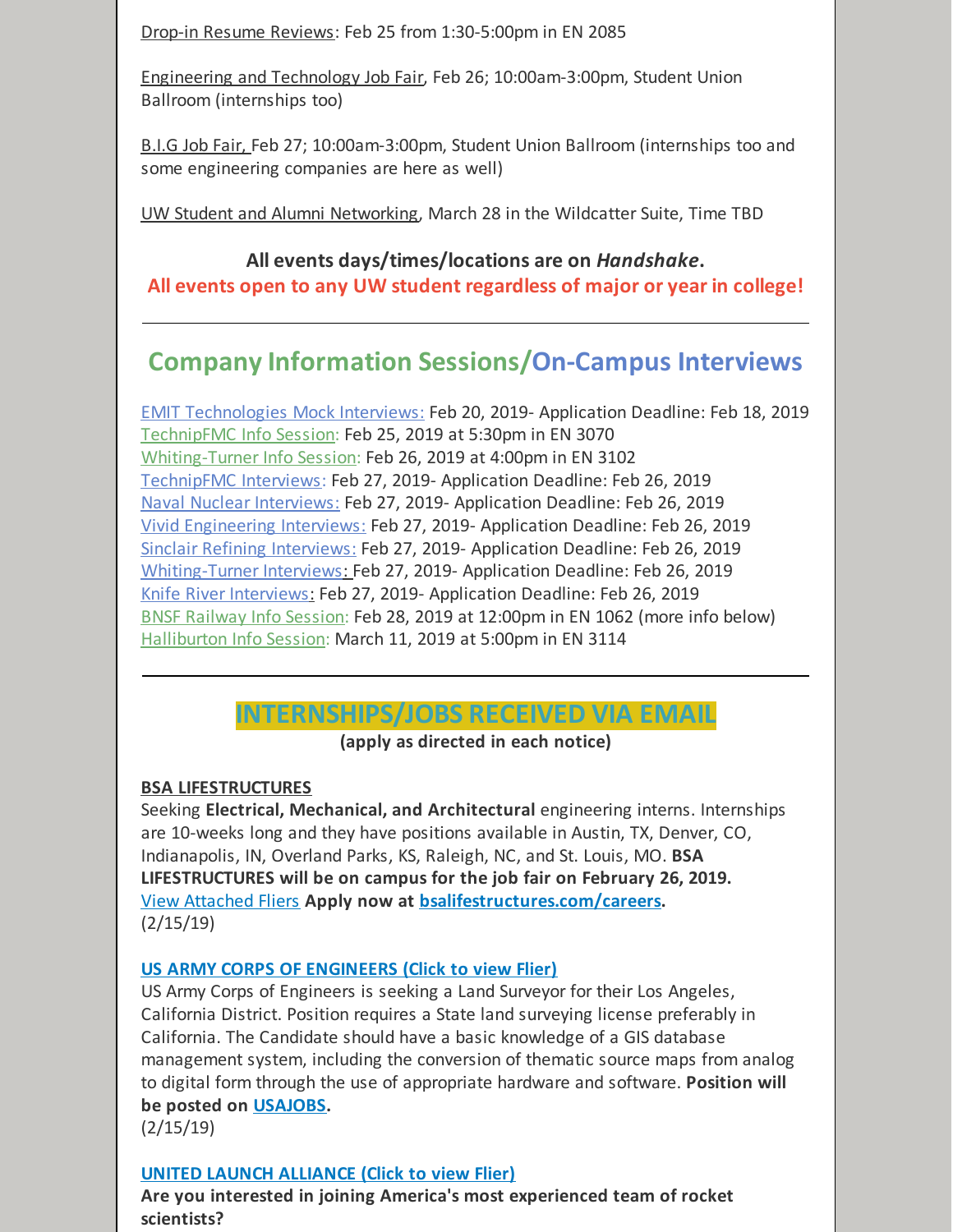Drop-in Resume Reviews: Feb 25 from 1:30-5:00pm in EN 2085

Engineering and Technology Job Fair, Feb 26; 10:00am-3:00pm, Student Union Ballroom (internships too)

B.I.G Job Fair, Feb 27; 10:00am-3:00pm, Student Union Ballroom (internships too and some engineering companies are here as well)

UW Student and Alumni Networking, March 28 in the Wildcatter Suite, Time TBD

# **All events days/times/locations are on** *Handshake***.**

**All events open to any UW student regardless of major or year in college!**

# **Company Information Sessions/On-Campus Interviews**

EMIT Technologies Mock Interviews: Feb 20, 2019- Application Deadline: Feb 18, 2019 TechnipFMC Info Session: Feb 25, 2019 at 5:30pm in EN 3070 Whiting-Turner Info Session: Feb 26, 2019 at 4:00pm in EN 3102 TechnipFMC Interviews: Feb 27, 2019- Application Deadline: Feb 26, 2019 Naval Nuclear Interviews: Feb 27, 2019- Application Deadline: Feb 26, 2019 Vivid Engineering Interviews: Feb 27, 2019- Application Deadline: Feb 26, 2019 Sinclair Refining Interviews: Feb 27, 2019- Application Deadline: Feb 26, 2019 Whiting-Turner Interviews: Feb 27, 2019- Application Deadline: Feb 26, 2019 Knife River Interviews: Feb 27, 2019- Application Deadline: Feb 26, 2019 BNSF Railway Info Session: Feb 28, 2019 at 12:00pm in EN 1062 (more info below) Halliburton Info Session: March 11, 2019 at 5:00pm in EN 3114

# **INTERNSHIPS/JOBS RECEIVED VIA EMAIL**

**(apply as directed in each notice)**

#### **BSA LIFESTRUCTURES**

Seeking **Electrical, Mechanical, and Architectural** engineering interns. Internships are 10-weeks long and they have positions available in Austin, TX, Denver, CO, Indianapolis, IN, Overland Parks, KS, Raleigh, NC, and St. Louis, MO. **BSA LIFESTRUCTURES will be on campus for the job fair on February 26, 2019.** View [Attached](https://files.constantcontact.com/b2624f04701/f6c3319d-7fb6-4df4-80be-6f54b440b637.pdf) Fliers **Apply now at [bsalifestructures.com/careers](http://bsalifestructures.com/careers).** (2/15/19)

## **US ARMY CORPS OF [ENGINEERS](https://files.constantcontact.com/b2624f04701/4a48562d-0bb7-4c80-a848-dafa47c53368.docx) (Click to view Flier)**

US Army Corps of Engineers is seeking a Land Surveyor for their Los Angeles, California District. Position requires a State land surveying license preferably in California. The Candidate should have a basic knowledge of a GIS database management system, including the conversion of thematic source maps from analog to digital form through the use of appropriate hardware and software. **Position will be posted on [USAJOBS](https://www.usajobs.gov/).**

(2/15/19)

## **UNITED LAUNCH [ALLIANCE](https://files.constantcontact.com/b2624f04701/78915ab6-2800-4c83-8cdf-de051715f157.pdf) (Click to view Flier)**

**Are you interested in joining America's most experienced team of rocket scientists?**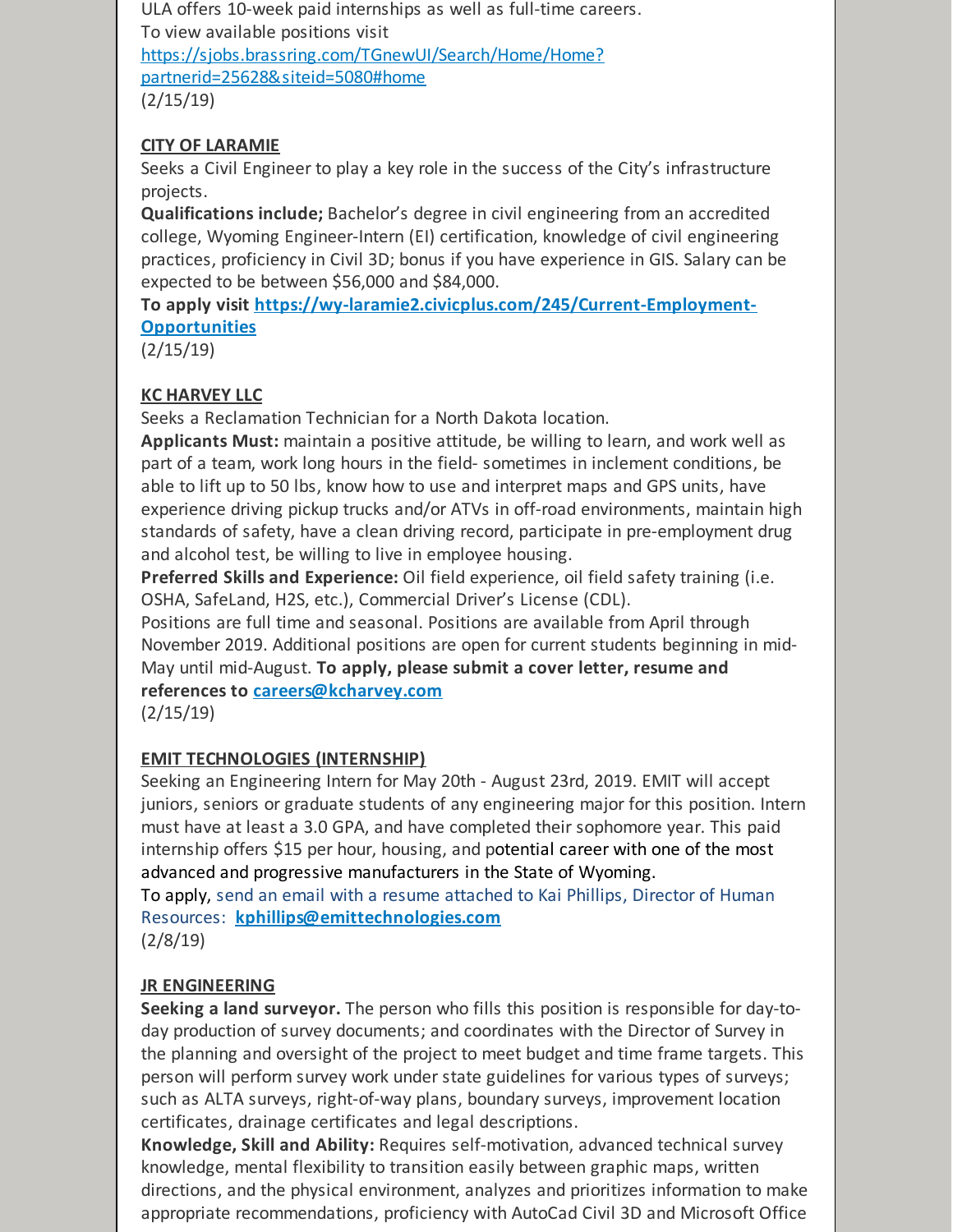ULA offers 10-week paid internships as well as full-time careers. To view available positions visit [https://sjobs.brassring.com/TGnewUI/Search/Home/Home?](https://sjobs.brassring.com/TGnewUI/Search/Home/Home?partnerid=25628&siteid=5080#home) partnerid=25628&siteid=5080#home (2/15/19)

### **CITY OF LARAMIE**

Seeks a Civil Engineer to play a key role in the success of the City's infrastructure projects.

**Qualifications include;** Bachelor's degree in civil engineering from an accredited college, Wyoming Engineer-Intern (EI) certification, knowledge of civil engineering practices, proficiency in Civil 3D; bonus if you have experience in GIS. Salary can be expected to be between \$56,000 and \$84,000.

**To apply visit [https://wy-laramie2.civicplus.com/245/Current-Employment-](https://wy-laramie2.civicplus.com/245/Current-Employment-Opportunities)Opportunities**

(2/15/19)

## **KC HARVEY LLC**

Seeks a Reclamation Technician for a North Dakota location.

**Applicants Must:** maintain a positive attitude, be willing to learn, and work well as part of a team, work long hours in the field- sometimes in inclement conditions, be able to lift up to 50 lbs, know how to use and interpret maps and GPS units, have experience driving pickup trucks and/or ATVs in off-road environments, maintain high standards of safety, have a clean driving record, participate in pre-employment drug and alcohol test, be willing to live in employee housing.

**Preferred Skills and Experience:** Oil field experience, oil field safety training (i.e. OSHA, SafeLand, H2S, etc.), Commercial Driver's License (CDL).

Positions are full time and seasonal. Positions are available from April through November 2019. Additional positions are open for current students beginning in mid-May until mid-August. **To apply, please submit a cover letter, resume and references to [careers@kcharvey.com](mailto:careers@kcharvey.com)**

(2/15/19)

## **EMIT TECHNOLOGIES (INTERNSHIP)**

Seeking an Engineering Intern for May 20th - August 23rd, 2019. EMIT will accept juniors, seniors or graduate students of any engineering major for this position. Intern must have at least a 3.0 GPA, and have completed their sophomore year. This paid internship offers \$15 per hour, housing, and potential career with one of the most advanced and progressive manufacturers in the State of Wyoming. To apply, send an email with a resume attached to Kai Phillips, Director of Human

Resources: **[kphillips@emittechnologies.com](mailto:kphillips@emittechnologies.com)** (2/8/19)

## **JR ENGINEERING**

**Seeking a land surveyor.** The person who fills this position is responsible for day-today production of survey documents; and coordinates with the Director of Survey in the planning and oversight of the project to meet budget and time frame targets. This person will perform survey work under state guidelines for various types of surveys; such as ALTA surveys, right-of-way plans, boundary surveys, improvement location certificates, drainage certificates and legal descriptions.

**Knowledge, Skill and Ability:** Requires self-motivation, advanced technical survey knowledge, mental flexibility to transition easily between graphic maps, written directions, and the physical environment, analyzes and prioritizes information to make appropriate recommendations, proficiency with AutoCad Civil 3D and Microsoft Office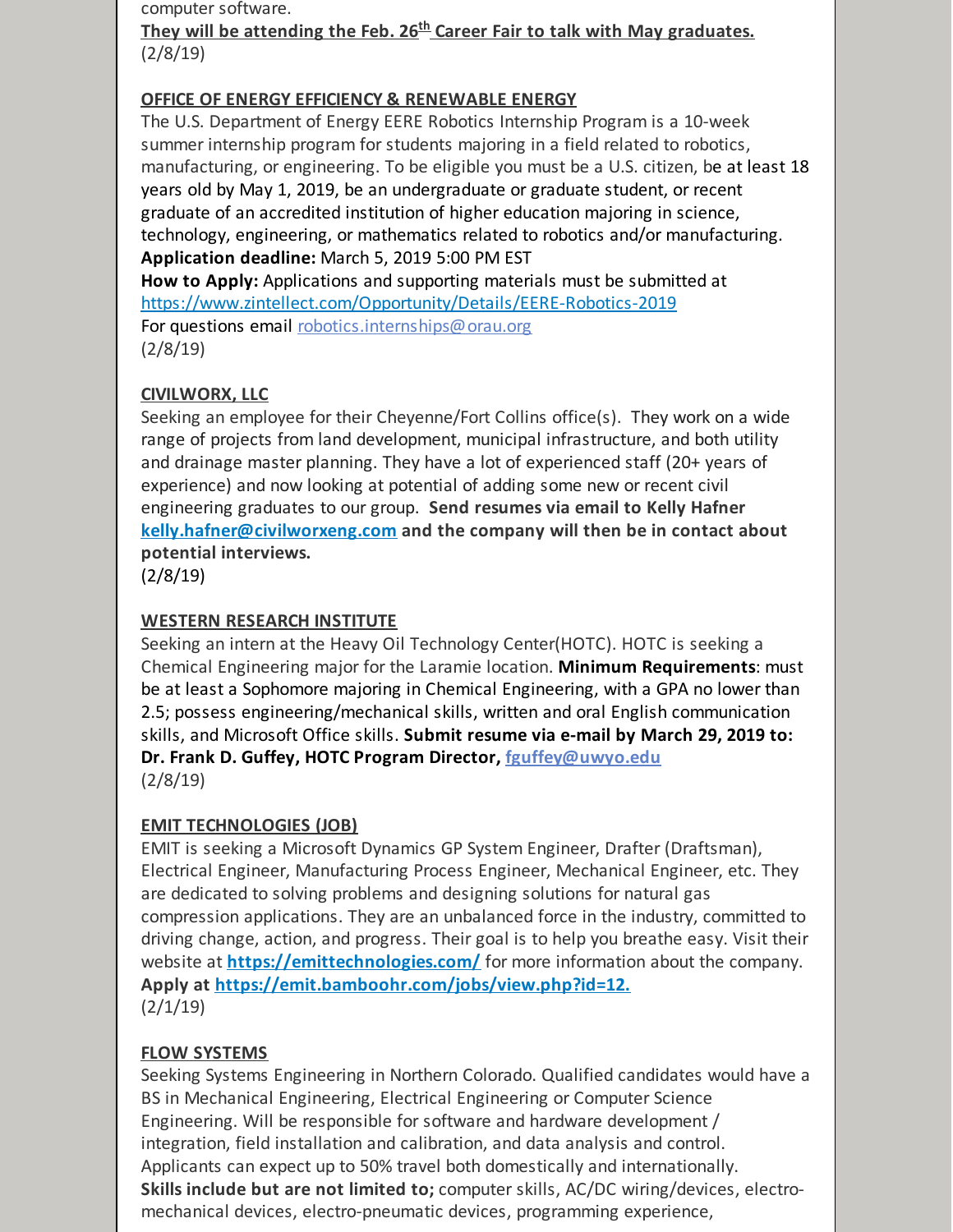computer software.

**They will be attending the Feb. 26 th Career Fair to talk with May graduates.** (2/8/19)

#### **OFFICE OF ENERGY EFFICIENCY & RENEWABLE ENERGY**

The U.S. Department of Energy EERE Robotics Internship Program is a 10-week summer internship program for students majoring in a field related to robotics, manufacturing, or engineering. To be eligible you must be a U.S. citizen, be at least 18 years old by May 1, 2019, be an undergraduate or graduate student, or recent graduate of an accredited institution of higher education majoring in science, technology, engineering, or mathematics related to robotics and/or manufacturing. **Application deadline:** March 5, 2019 5:00 PM EST

**How to Apply:** Applications and supporting materials must be submitted at <https://www.zintellect.com/Opportunity/Details/EERE-Robotics-2019> For questions email [robotics.internships@orau.org](mailto:robotics.internships@orau.org) (2/8/19)

#### **CIVILWORX, LLC**

Seeking an employee for their Cheyenne/Fort Collins office(s). They work on a wide range of projects from land development, municipal infrastructure, and both utility and drainage master planning. They have a lot of experienced staff (20+ years of experience) and now looking at potential of adding some new or recent civil engineering graduates to our group. **Send resumes via email to Kelly Hafner [kelly.hafner@civilworxeng.com](mailto:kelly.hafner@civilworxeng.com) and the company will then be in contact about potential interviews.**

(2/8/19)

#### **WESTERN RESEARCH INSTITUTE**

Seeking an intern at the Heavy Oil Technology Center(HOTC). HOTC is seeking a Chemical Engineering major for the Laramie location. **Minimum Requirements**: must be at least a Sophomore majoring in Chemical Engineering, with a GPA no lower than 2.5; possess engineering/mechanical skills, written and oral English communication skills, and Microsoft Office skills. **Submit resume via e-mail by March 29, 2019 to: Dr. Frank D. Guffey, HOTC Program Director, [fguffey@uwyo.edu](mailto:fguffey@uwyo.edu)** (2/8/19)

#### **EMIT TECHNOLOGIES (JOB)**

EMIT is seeking a Microsoft Dynamics GP System Engineer, Drafter (Draftsman), Electrical Engineer, Manufacturing Process Engineer, Mechanical Engineer, etc. They are dedicated to solving problems and designing solutions for natural gas compression applications. They are an unbalanced force in the industry, committed to driving change, action, and progress. Their goal is to help you breathe easy. Visit their website at **<https://emittechnologies.com/>** for more information about the company. **Apply at [https://emit.bamboohr.com/jobs/view.php?id=12.](https://emit.bamboohr.com/jobs/view.php?id=12)**  $(2/1/19)$ 

#### **FLOW SYSTEMS**

Seeking Systems Engineering in Northern Colorado. Qualified candidates would have a BS in Mechanical Engineering, Electrical Engineering or Computer Science Engineering. Will be responsible for software and hardware development / integration, field installation and calibration, and data analysis and control. Applicants can expect up to 50% travel both domestically and internationally. **Skills include but are not limited to;** computer skills, AC/DC wiring/devices, electromechanical devices, electro-pneumatic devices, programming experience,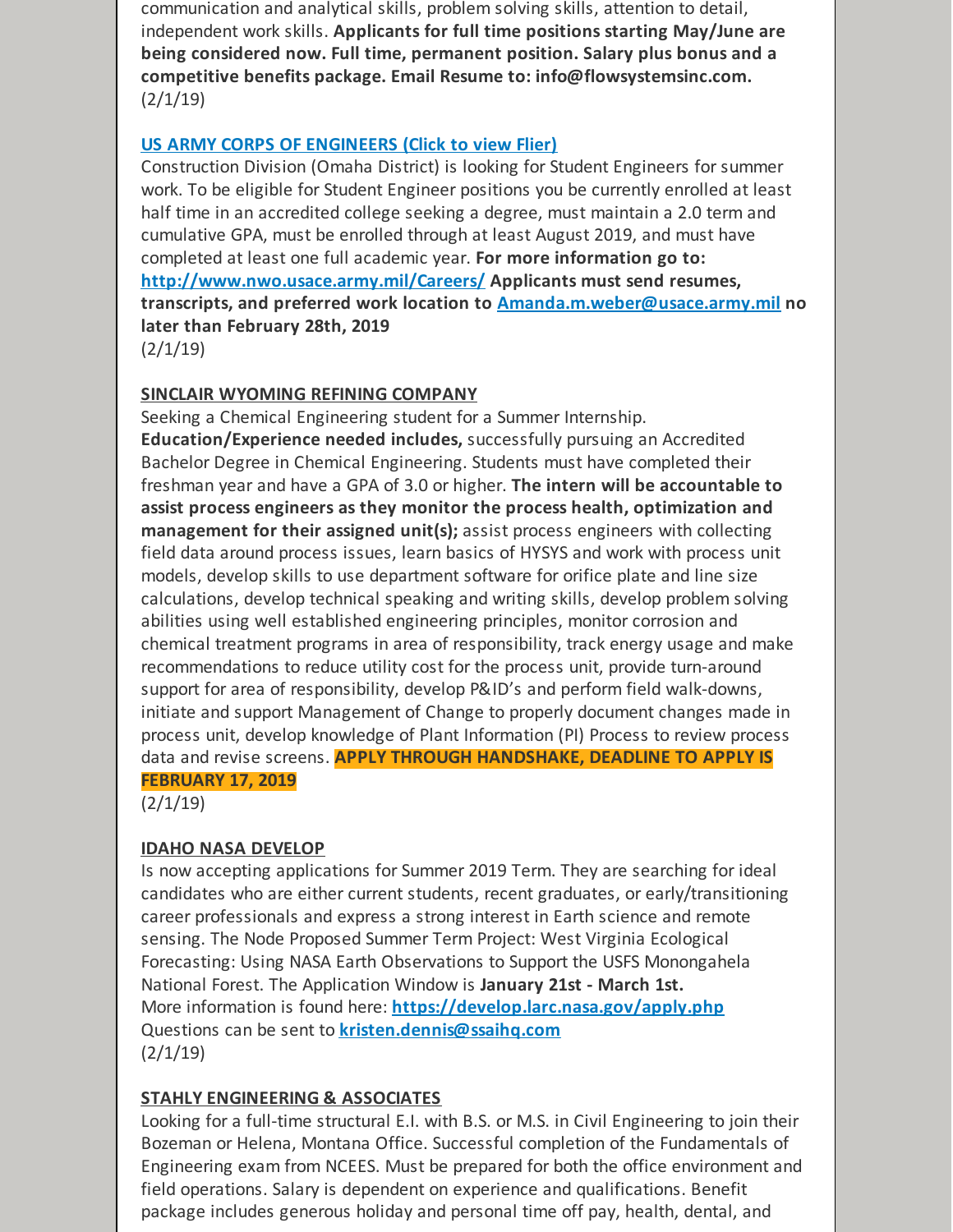communication and analytical skills, problem solving skills, attention to detail, independent work skills. **Applicants for full time positions starting May/June are being considered now. Full time, permanent position. Salary plus bonus and a competitive benefits package. Email Resume to: info@flowsystemsinc.com.**  $(2/1/19)$ 

#### **US ARMY CORPS OF [ENGINEERS](https://files.constantcontact.com/b2624f04701/527cbe14-4614-4e2a-871e-5c02a6e612b4.pdf) (Click to view Flier)**

Construction Division (Omaha District) is looking for Student Engineers for summer work. To be eligible for Student Engineer positions you be currently enrolled at least half time in an accredited college seeking a degree, must maintain a 2.0 term and cumulative GPA, must be enrolled through at least August 2019, and must have completed at least one full academic year. **For more information go to: <http://www.nwo.usace.army.mil/Careers/> Applicants must send resumes, transcripts, and preferred work location to [Amanda.m.weber@usace.army.mil](mailto:Amanda.m.weber@usace.army.mil) no later than February 28th, 2019**  $(2/1/19)$ 

#### **SINCLAIR WYOMING REFINING COMPANY**

Seeking a Chemical Engineering student for a Summer Internship. **Education/Experience needed includes,** successfully pursuing an Accredited Bachelor Degree in Chemical Engineering. Students must have completed their freshman year and have a GPA of 3.0 or higher. **The intern will be accountable to assist process engineers as they monitor the process health, optimization and management for their assigned unit(s);** assist process engineers with collecting field data around process issues, learn basics of HYSYS and work with process unit models, develop skills to use department software for orifice plate and line size calculations, develop technical speaking and writing skills, develop problem solving abilities using well established engineering principles, monitor corrosion and chemical treatment programs in area of responsibility, track energy usage and make recommendations to reduce utility cost for the process unit, provide turn-around support for area of responsibility, develop P&ID's and perform field walk-downs, initiate and support Management of Change to properly document changes made in process unit, develop knowledge of Plant Information (PI) Process to review process data and revise screens. **APPLY THROUGH HANDSHAKE, DEADLINE TO APPLY IS FEBRUARY 17, 2019**

 $(2/1/19)$ 

#### **IDAHO NASA DEVELOP**

Is now accepting applications for Summer 2019 Term. They are searching for ideal candidates who are either current students, recent graduates, or early/transitioning career professionals and express a strong interest in Earth science and remote sensing. The Node Proposed Summer Term Project: West Virginia Ecological Forecasting: Using NASA Earth Observations to Support the USFS Monongahela National Forest. The Application Window is **January 21st - March 1st.** More information is found here: **<https://develop.larc.nasa.gov/apply.php>** Questions can be sent to **[kristen.dennis@ssaihq.com](mailto:kristen.dennis@ssaihq.com)**  $(2/1/19)$ 

#### **STAHLY ENGINEERING & ASSOCIATES**

Looking for a full-time structural E.I. with B.S. or M.S. in Civil Engineering to join their Bozeman or Helena, Montana Office. Successful completion of the Fundamentals of Engineering exam from NCEES. Must be prepared for both the office environment and field operations. Salary is dependent on experience and qualifications. Benefit package includes generous holiday and personal time off pay, health, dental, and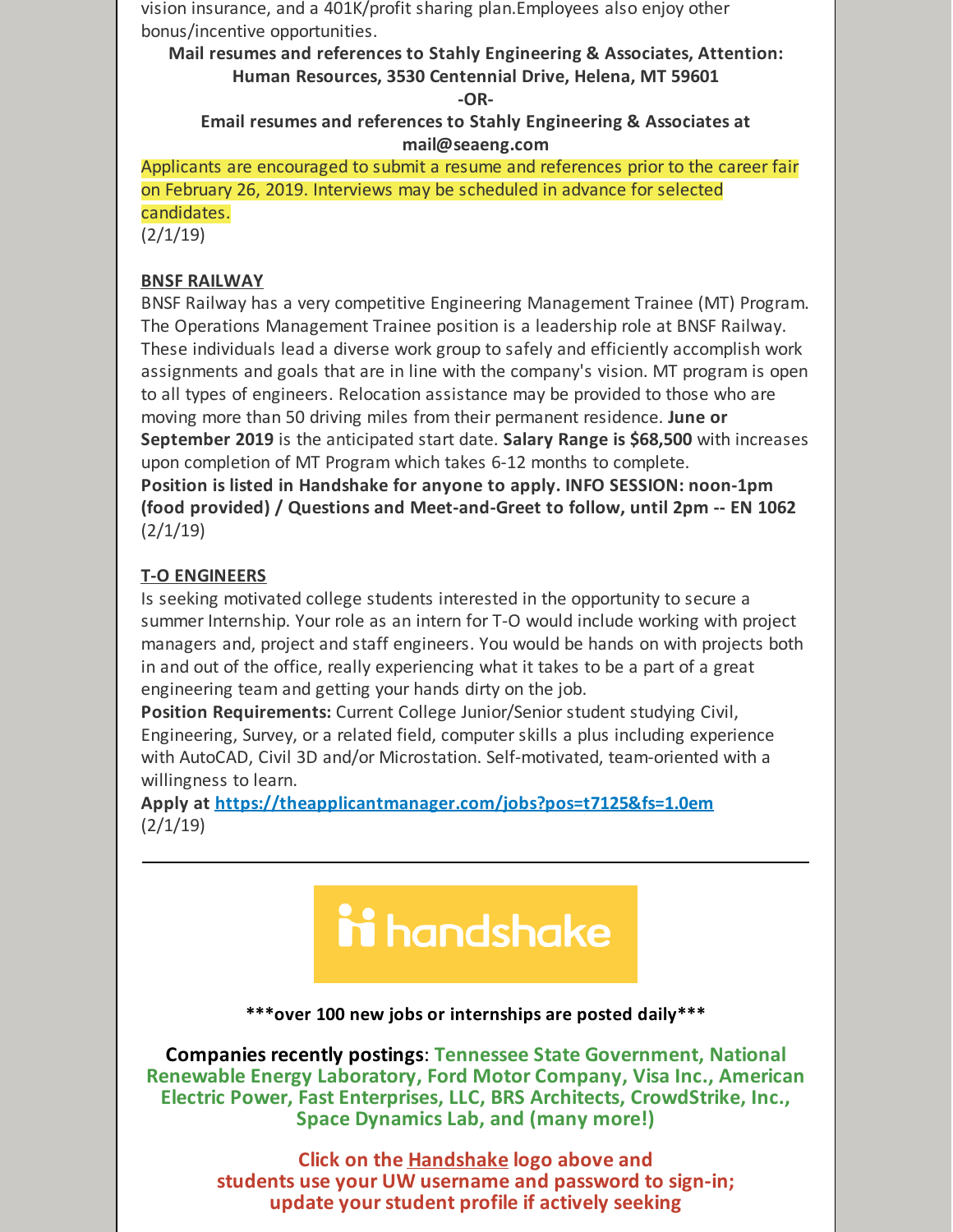vision insurance, and a 401K/profit sharing plan.Employees also enjoy other bonus/incentive opportunities.

**Mail resumes and references to Stahly Engineering & Associates, Attention: Human Resources, 3530 Centennial Drive, Helena, MT 59601**

**-OR-**

**Email resumes and references to Stahly Engineering & Associates at mail@seaeng.com**

Applicants are encouraged to submit a resume and references prior to the career fair on February 26, 2019. Interviews may be scheduled in advance for selected candidates.

 $(2/1/19)$ 

#### **BNSF RAILWAY**

BNSF Railway has a very competitive Engineering Management Trainee (MT) Program. The Operations Management Trainee position is a leadership role at BNSF Railway. These individuals lead a diverse work group to safely and efficiently accomplish work assignments and goals that are in line with the company's vision. MT program is open to all types of engineers. Relocation assistance may be provided to those who are moving more than 50 driving miles from their permanent residence. **June or September 2019** is the anticipated start date. **Salary Range is \$68,500** with increases upon completion of MT Program which takes 6-12 months to complete. **Position is listed in Handshake for anyone to apply. INFO SESSION: noon-1pm (food provided) / Questions and Meet-and-Greet to follow, until 2pm -- EN 1062**

 $(2/1/19)$ 

# **T-O ENGINEERS**

Is seeking motivated college students interested in the opportunity to secure a summer Internship. Your role as an intern for T-O would include working with project managers and, project and staff engineers. You would be hands on with projects both in and out of the office, really experiencing what it takes to be a part of a great engineering team and getting your hands dirty on the job.

**Position Requirements:** Current College Junior/Senior student studying Civil, Engineering, Survey, or a related field, computer skills a plus including experience with AutoCAD, Civil 3D and/or Microstation. Self-motivated, team-oriented with a willingness to learn.

**Apply at <https://theapplicantmanager.com/jobs?pos=t7125&fs=1.0em>**  $(2/1/19)$ 

# ii handshake

**\*\*\*over 100 new jobs or internships are posted daily\*\*\***

**Companies recently postings**: **Tennessee State Government, National Renewable Energy Laboratory, Ford Motor Company, Visa Inc., American Electric Power, Fast Enterprises, LLC, BRS Architects, CrowdStrike, Inc., Space Dynamics Lab, and (many more!)**

> **Click on the [Handshake](http://www.uwyo.edu/aces/career-services/handshake.html) logo above and students use your UW username and password to sign-in; update your student profile if actively seeking**